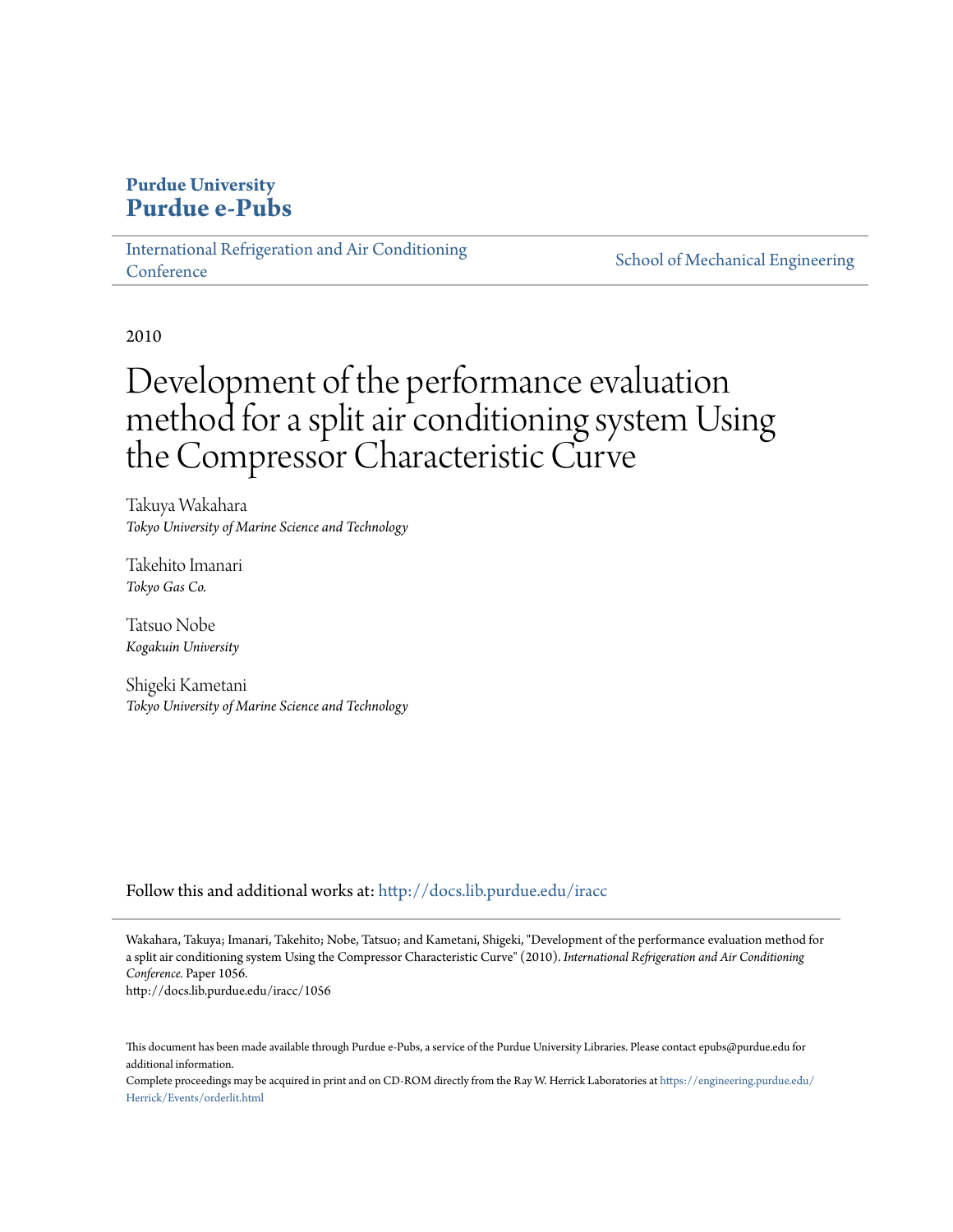## **Purdue University [Purdue e-Pubs](http://docs.lib.purdue.edu?utm_source=docs.lib.purdue.edu%2Firacc%2F1056&utm_medium=PDF&utm_campaign=PDFCoverPages)**

[International Refrigeration and Air Conditioning](http://docs.lib.purdue.edu/iracc?utm_source=docs.lib.purdue.edu%2Firacc%2F1056&utm_medium=PDF&utm_campaign=PDFCoverPages) **[Conference](http://docs.lib.purdue.edu/iracc?utm_source=docs.lib.purdue.edu%2Firacc%2F1056&utm_medium=PDF&utm_campaign=PDFCoverPages)** 

[School of Mechanical Engineering](http://docs.lib.purdue.edu/me?utm_source=docs.lib.purdue.edu%2Firacc%2F1056&utm_medium=PDF&utm_campaign=PDFCoverPages)

2010

# Development of the performance evaluation method for a split air conditioning system Using the Compressor Characteristic Curve

Takuya Wakahara *Tokyo University of Marine Science and Technology*

Takehito Imanari *Tokyo Gas Co.*

Tatsuo Nobe *Kogakuin University*

Shigeki Kametani *Tokyo University of Marine Science and Technology*

Follow this and additional works at: [http://docs.lib.purdue.edu/iracc](http://docs.lib.purdue.edu/iracc?utm_source=docs.lib.purdue.edu%2Firacc%2F1056&utm_medium=PDF&utm_campaign=PDFCoverPages)

Wakahara, Takuya; Imanari, Takehito; Nobe, Tatsuo; and Kametani, Shigeki, "Development of the performance evaluation method for a split air conditioning system Using the Compressor Characteristic Curve" (2010). *International Refrigeration and Air Conditioning Conference.* Paper 1056.

http://docs.lib.purdue.edu/iracc/1056

This document has been made available through Purdue e-Pubs, a service of the Purdue University Libraries. Please contact epubs@purdue.edu for additional information.

Complete proceedings may be acquired in print and on CD-ROM directly from the Ray W. Herrick Laboratories at [https://engineering.purdue.edu/](https://engineering.purdue.edu/Herrick/Events/orderlit.html) [Herrick/Events/orderlit.html](https://engineering.purdue.edu/Herrick/Events/orderlit.html)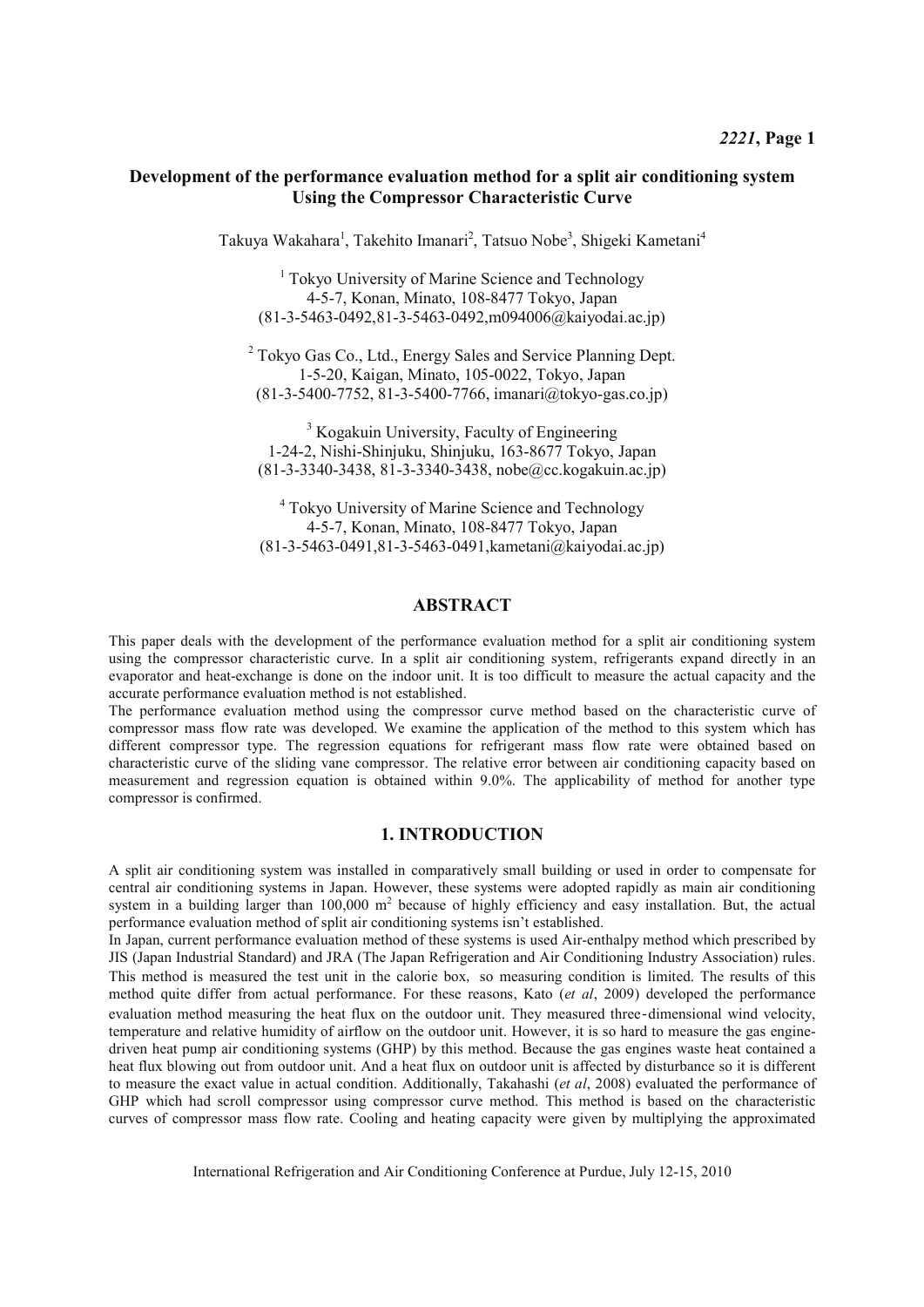## Development of the performance evaluation method for a split air conditioning system **Using the Compressor Characteristic Curve**

Takuya Wakahara<sup>1</sup>, Takehito Imanari<sup>2</sup>, Tatsuo Nobe<sup>3</sup>, Shigeki Kametani<sup>4</sup>

 $<sup>1</sup>$  Tokvo University of Marine Science and Technology</sup> 4-5-7, Konan, Minato, 108-8477 Tokyo, Japan  $(81-3-5463-049281-3-5463-0492m094006@kaivodai acin)$ 

 $2$  Tokyo Gas Co., Ltd., Energy Sales and Service Planning Dept. 1-5-20, Kaigan, Minato, 105-0022, Tokyo, Japan  $(81-3-5400-7752, 81-3-5400-7766, imanari@tokyo-gas.co.jp)$ 

 $3$  Kogakuin University, Faculty of Engineering 1-24-2, Nishi-Shinjuku, Shinjuku, 163-8677 Tokvo, Japan  $(81-3-3340-3438, 81-3-3340-3438, \text{nobe@cc.kogakuin.ac.io})$ 

 $<sup>4</sup>$  Tokyo University of Marine Science and Technology</sup> 4-5-7, Konan, Minato, 108-8477 Tokyo, Japan  $(81-3-5463-0491, 81-3-5463-0491, kamentani@, kaiyodai.ac.jp)$ 

## $ABSTRACT$

This paper deals with the development of the performance evaluation method for a split air conditioning system using the compressor characteristic curve. In a split air conditioning system, refrigerants expand directly in an evaporator and heat-exchange is done on the indoor unit. It is too difficult to measure the actual capacity and the accurate performance evaluation method is not established.

The performance evaluation method using the compressor curve method based on the characteristic curve of compressor mass flow rate was developed. We examine the application of the method to this system which has different compressor type. The regression equations for refrigerant mass flow rate were obtained based on characteristic curve of the sliding vane compressor. The relative error between air conditioning capacity based on measurement and regression equation is obtained within 9.0%. The applicability of method for another type compressor is confirmed.

### **1. INTRODUCTION**

A split air conditioning system was installed in comparatively small building or used in order to compensate for central air conditioning systems in Japan. However, these systems were adopted rapidly as main air conditioning system in a building larger than  $100,000$  m<sup>2</sup> because of highly efficiency and easy installation. But, the actual performance evaluation method of split air conditioning systems isn't established.

In Japan, current performance evaluation method of these systems is used Air-enthalpy method which prescribed by JIS (Japan Industrial Standard) and JRA (The Japan Refrigeration and Air Conditioning Industry Association) rules. This method is measured the test unit in the calorie box, so measuring condition is limited. The results of this method quite differ from actual performance. For these reasons, Kato (et al, 2009) developed the performance evaluation method measuring the heat flux on the outdoor unit. They measured three-dimensional wind velocity, temperature and relative humidity of airflow on the outdoor unit. However, it is so hard to measure the gas enginedriven heat pump air conditioning systems (GHP) by this method. Because the gas engines waste heat contained a heat flux blowing out from outdoor unit. And a heat flux on outdoor unit is affected by disturbance so it is different to measure the exact value in actual condition. Additionally, Takahashi (et al., 2008) evaluated the performance of GHP which had scroll compressor using compressor curve method. This method is based on the characteristic curves of compressor mass flow rate. Cooling and heating capacity were given by multiplying the approximated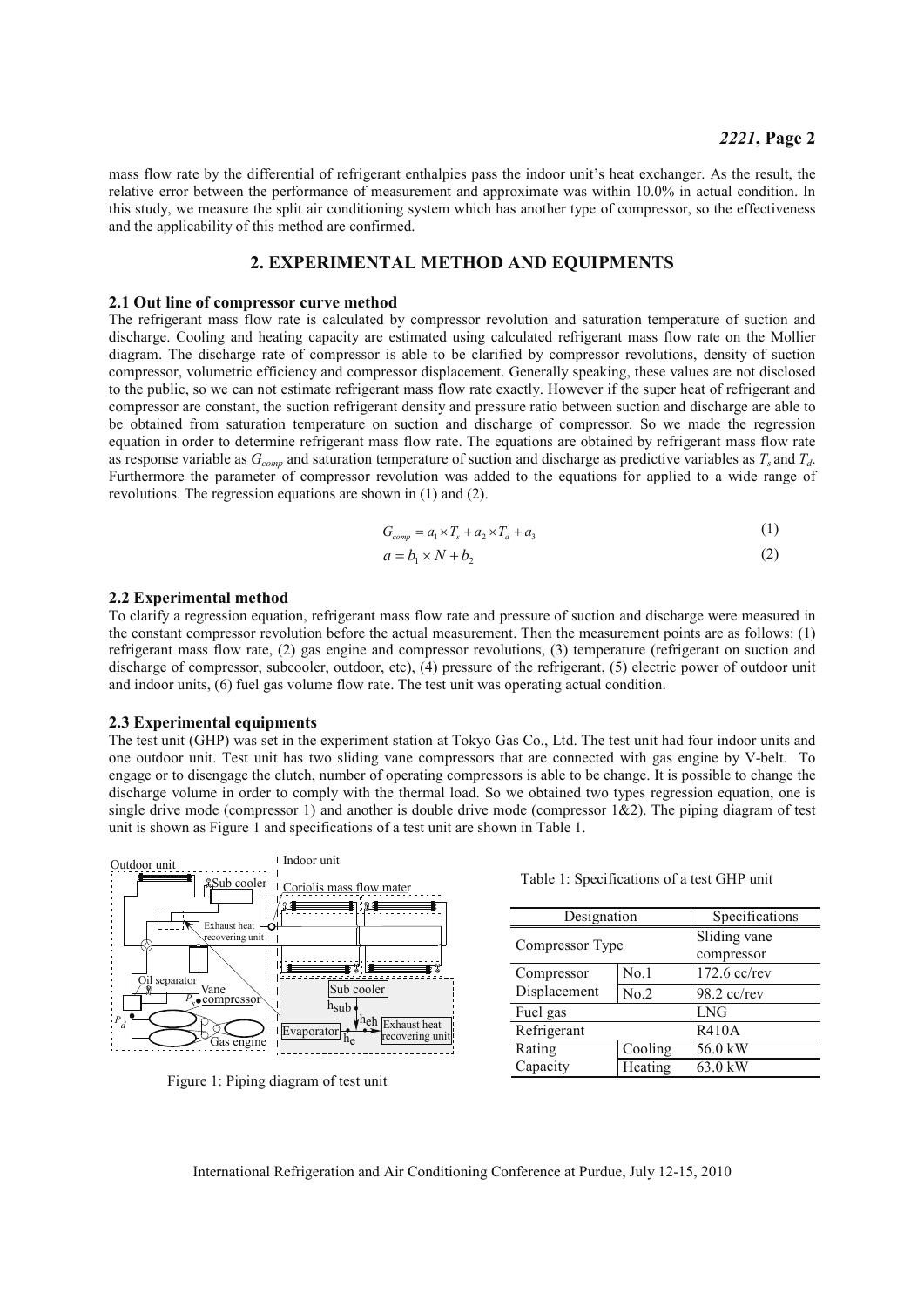mass flow rate by the differential of refrigerant enthalpies pass the indoor unit's heat exchanger. As the result, the relative error between the performance of measurement and approximate was within 10.0% in actual condition. In this study, we measure the split air conditioning system which has another type of compressor, so the effectiveness and the applicability of this method are confirmed.

## 2. EXPERIMENTAL METHOD AND EQUIPMENTS

#### 2.1 Out line of compressor curve method

The refrigerant mass flow rate is calculated by compressor revolution and saturation temperature of suction and discharge. Cooling and heating capacity are estimated using calculated refrigerant mass flow rate on the Mollier diagram. The discharge rate of compressor is able to be clarified by compressor revolutions, density of suction compressor, volumetric efficiency and compressor displacement. Generally speaking, these values are not disclosed to the public, so we can not estimate refrigerant mass flow rate exactly. However if the super heat of refrigerant and compressor are constant, the suction refrigerant density and pressure ratio between suction and discharge are able to be obtained from saturation temperature on suction and discharge of compressor. So we made the regression equation in order to determine refrigerant mass flow rate. The equations are obtained by refrigerant mass flow rate as response variable as  $G_{comp}$  and saturation temperature of suction and discharge as predictive variables as  $T_s$  and  $T_d$ . Furthermore the parameter of compressor revolution was added to the equations for applied to a wide range of revolutions. The regression equations are shown in  $(1)$  and  $(2)$ .

$$
G_{comm} = a_1 \times T_s + a_2 \times T_d + a_3 \tag{1}
$$

$$
a = b_1 \times N + b_2 \tag{2}
$$

#### 2.2 Experimental method

To clarify a regression equation, refrigerant mass flow rate and pressure of suction and discharge were measured in the constant compressor revolution before the actual measurement. Then the measurement points are as follows: (1) refrigerant mass flow rate, (2) gas engine and compressor revolutions, (3) temperature (refrigerant on suction and discharge of compressor, subcooler, outdoor, etc), (4) pressure of the refrigerant, (5) electric power of outdoor unit and indoor units, (6) fuel gas volume flow rate. The test unit was operating actual condition.

#### 2.3 Experimental equipments

The test unit (GHP) was set in the experiment station at Tokyo Gas Co., Ltd. The test unit had four indoor units and one outdoor unit. Test unit has two sliding vane compressors that are connected with gas engine by V-belt. To engage or to disengage the clutch, number of operating compressors is able to be change. It is possible to change the discharge volume in order to comply with the thermal load. So we obtained two types regression equation, one is single drive mode (compressor 1) and another is double drive mode (compressor  $1\&2$ ). The piping diagram of test unit is shown as Figure 1 and specifications of a test unit are shown in Table 1.



Figure 1: Piping diagram of test unit

Table 1: Specifications of a test GHP unit

| Designation     |         | Specifications             |  |
|-----------------|---------|----------------------------|--|
| Compressor Type |         | Sliding vane<br>compressor |  |
| Compressor      | No.1    | 172.6 cc/rev               |  |
| Displacement    | No.2    | 98.2 cc/rev                |  |
| Fuel gas        |         | <b>LNG</b>                 |  |
| Refrigerant     |         | <b>R410A</b>               |  |
| Rating          | Cooling | 56.0 kW                    |  |
| Capacity        | Heating | 63.0 kW                    |  |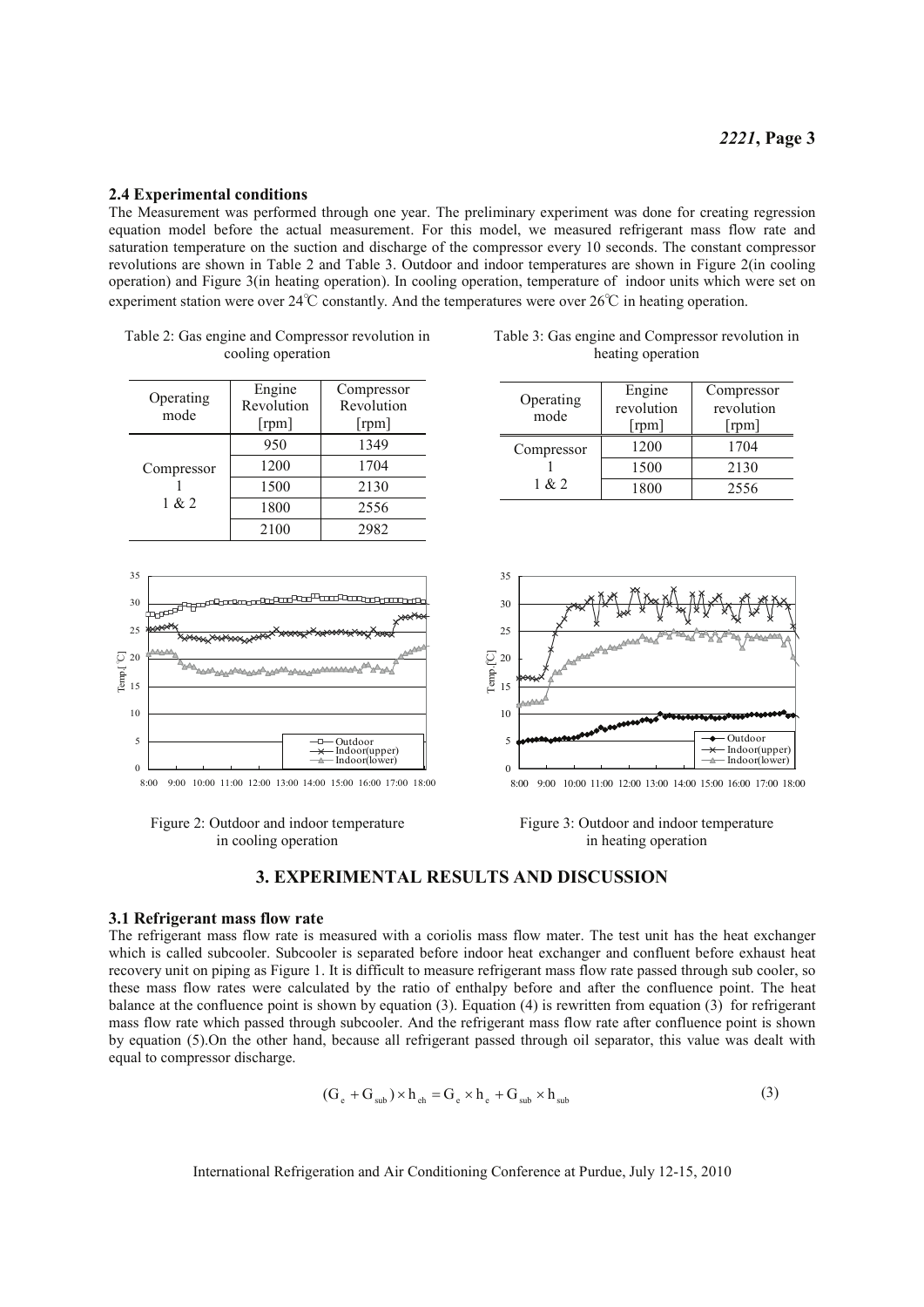#### 2.4 Experimental conditions

The Measurement was performed through one year. The preliminary experiment was done for creating regression equation model before the actual measurement. For this model, we measured refrigerant mass flow rate and saturation temperature on the suction and discharge of the compressor every 10 seconds. The constant compressor revolutions are shown in Table 2 and Table 3. Outdoor and indoor temperatures are shown in Figure 2(in cooling operation) and Figure 3(in heating operation). In cooling operation, temperature of indoor units which were set on experiment station were over  $24^{\circ}$ C constantly. And the temperatures were over  $26^{\circ}$ C in heating operation.

|                     | Engine     | Compressor |  |
|---------------------|------------|------------|--|
| Operating<br>mode   | Revolution | Revolution |  |
|                     | [rpm]      | [rpm]      |  |
|                     | 950        | 1349       |  |
| Compressor<br>1 & 2 | 1200       | 1704       |  |
|                     | 1500       | 2130       |  |
|                     | 1800       | 2556       |  |
|                     |            |            |  |

| Table 2: Gas engine and Compressor revolution in |  |
|--------------------------------------------------|--|
| cooling operation                                |  |



 $8:00$ 9:00 10:00 11:00 12:00 13:00 14:00 15:00 16:00 17:00 18:00



| Table 3: Gas engine and Compressor revolution in |
|--------------------------------------------------|
| heating operation                                |

| Operating  | Engine<br>revolution | Compressor<br>revolution |  |
|------------|----------------------|--------------------------|--|
| mode       | [rm]                 | [rm]                     |  |
| Compressor | 1200                 | 1704                     |  |
|            | 1500                 | 2130                     |  |
| 1 & 2      | 1800                 | 2556                     |  |



Figure 3: Outdoor and indoor temperature in heating operation

## **3. EXPERIMENTAL RESULTS AND DISCUSSION**

#### 3.1 Refrigerant mass flow rate

The refrigerant mass flow rate is measured with a coriolis mass flow mater. The test unit has the heat exchanger which is called subcooler. Subcooler is separated before indoor heat exchanger and confluent before exhaust heat recovery unit on piping as Figure 1. It is difficult to measure refrigerant mass flow rate passed through sub cooler, so these mass flow rates were calculated by the ratio of enthalpy before and after the confluence point. The heat balance at the confluence point is shown by equation  $(3)$ . Equation  $(4)$  is rewritten from equation  $(3)$  for refrigerant mass flow rate which passed through subcooler. And the refrigerant mass flow rate after confluence point is shown by equation (5). On the other hand, because all refrigerant passed through oil separator, this value was dealt with equal to compressor discharge.

$$
(\mathbf{G}_{\mathrm{e}} + \mathbf{G}_{\mathrm{sub}}) \times \mathbf{h}_{\mathrm{eh}} = \mathbf{G}_{\mathrm{e}} \times \mathbf{h}_{\mathrm{e}} + \mathbf{G}_{\mathrm{sub}} \times \mathbf{h}_{\mathrm{sub}}
$$
(3)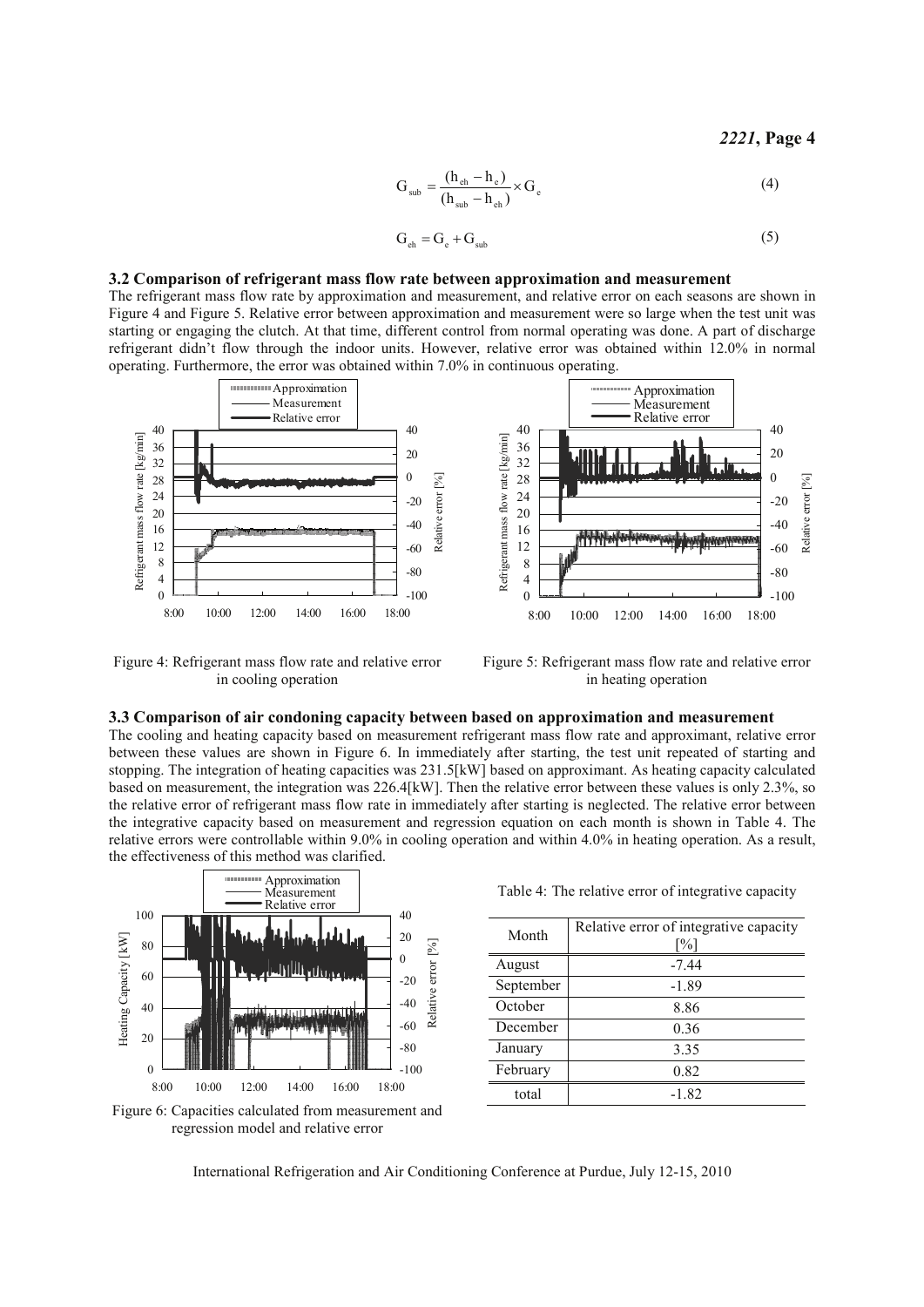#### 2221, Page 4

$$
G_{sub} = \frac{(h_{eh} - h_e)}{(h_{sub} - h_{eh})} \times G_e
$$
 (4)

$$
G_{eh} = G_e + G_{sub}
$$
 (5)

#### 3.2 Comparison of refrigerant mass flow rate between approximation and measurement

The refrigerant mass flow rate by approximation and measurement, and relative error on each seasons are shown in Figure 4 and Figure 5. Relative error between approximation and measurement were so large when the test unit was starting or engaging the clutch. At that time, different control from normal operating was done. A part of discharge refrigerant didn't flow through the indoor units. However, relative error was obtained within 12.0% in normal operating. Furthermore, the error was obtained within 7.0% in continuous operating.



Figure 4: Refrigerant mass flow rate and relative error in cooling operation

Figure 5: Refrigerant mass flow rate and relative error in heating operation

#### 3.3 Comparison of air condoning capacity between based on approximation and measurement

The cooling and heating capacity based on measurement refrigerant mass flow rate and approximant, relative error between these values are shown in Figure 6. In immediately after starting, the test unit repeated of starting and stopping. The integration of heating capacities was 231.5[kW] based on approximant. As heating capacity calculated based on measurement, the integration was 226.4[kW]. Then the relative error between these values is only 2.3%, so the relative error of refrigerant mass flow rate in immediately after starting is neglected. The relative error between the integrative capacity based on measurement and regression equation on each month is shown in Table 4. The relative errors were controllable within 9.0% in cooling operation and within 4.0% in heating operation. As a result, the effectiveness of this method was clarified.



Figure 6: Capacities calculated from measurement and regression model and relative error

Table 4: The relative error of integrative capacity

| Month     | Relative error of integrative capacity<br>$\lceil\% \rceil$ |
|-----------|-------------------------------------------------------------|
| August    | $-7.44$                                                     |
| September | $-1.89$                                                     |
| October   | 8.86                                                        |
| December  | 0.36                                                        |
| January   | 3.35                                                        |
| February  | 0.82                                                        |
| total     | $-1.82$                                                     |

International Refrigeration and Air Conditioning Conference at Purdue, July 12-15, 2010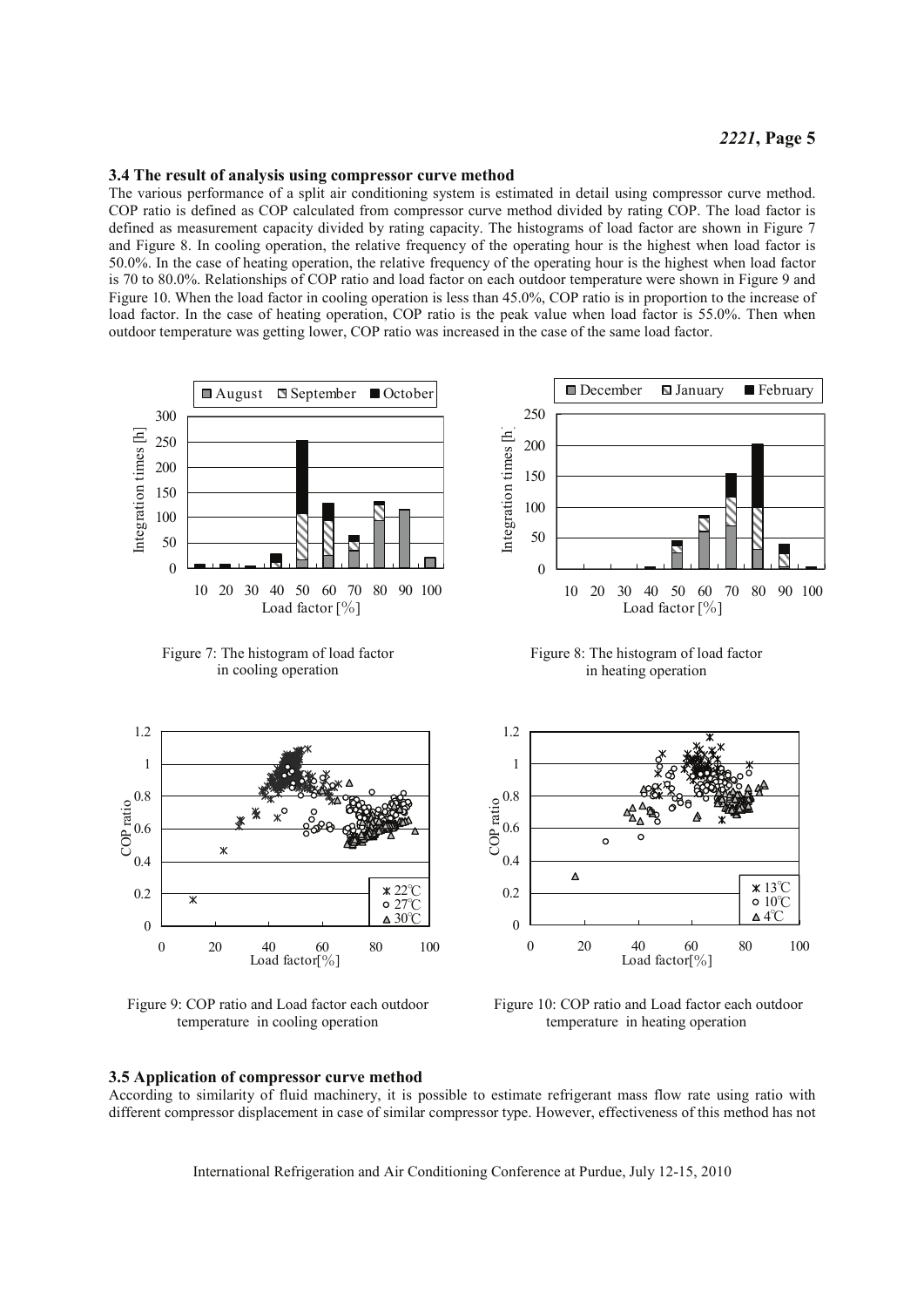#### 3.4 The result of analysis using compressor curve method

The various performance of a split air conditioning system is estimated in detail using compressor curve method. COP ratio is defined as COP calculated from compressor curve method divided by rating COP. The load factor is defined as measurement capacity divided by rating capacity. The histograms of load factor are shown in Figure 7 and Figure 8. In cooling operation, the relative frequency of the operating hour is the highest when load factor is 50.0%. In the case of heating operation, the relative frequency of the operating hour is the highest when load factor is 70 to 80.0%. Relationships of COP ratio and load factor on each outdoor temperature were shown in Figure 9 and Figure 10. When the load factor in cooling operation is less than 45.0%, COP ratio is in proportion to the increase of load factor. In the case of heating operation, COP ratio is the peak value when load factor is 55.0%. Then when outdoor temperature was getting lower, COP ratio was increased in the case of the same load factor.



Figure 9: COP ratio and Load factor each outdoor temperature in cooling operation

# 3.5 Application of compressor curve method

According to similarity of fluid machinery, it is possible to estimate refrigerant mass flow rate using ratio with different compressor displacement in case of similar compressor type. However, effectiveness of this method has not

Load factor[%]

Figure 10: COP ratio and Load factor each outdoor

temperature in heating operation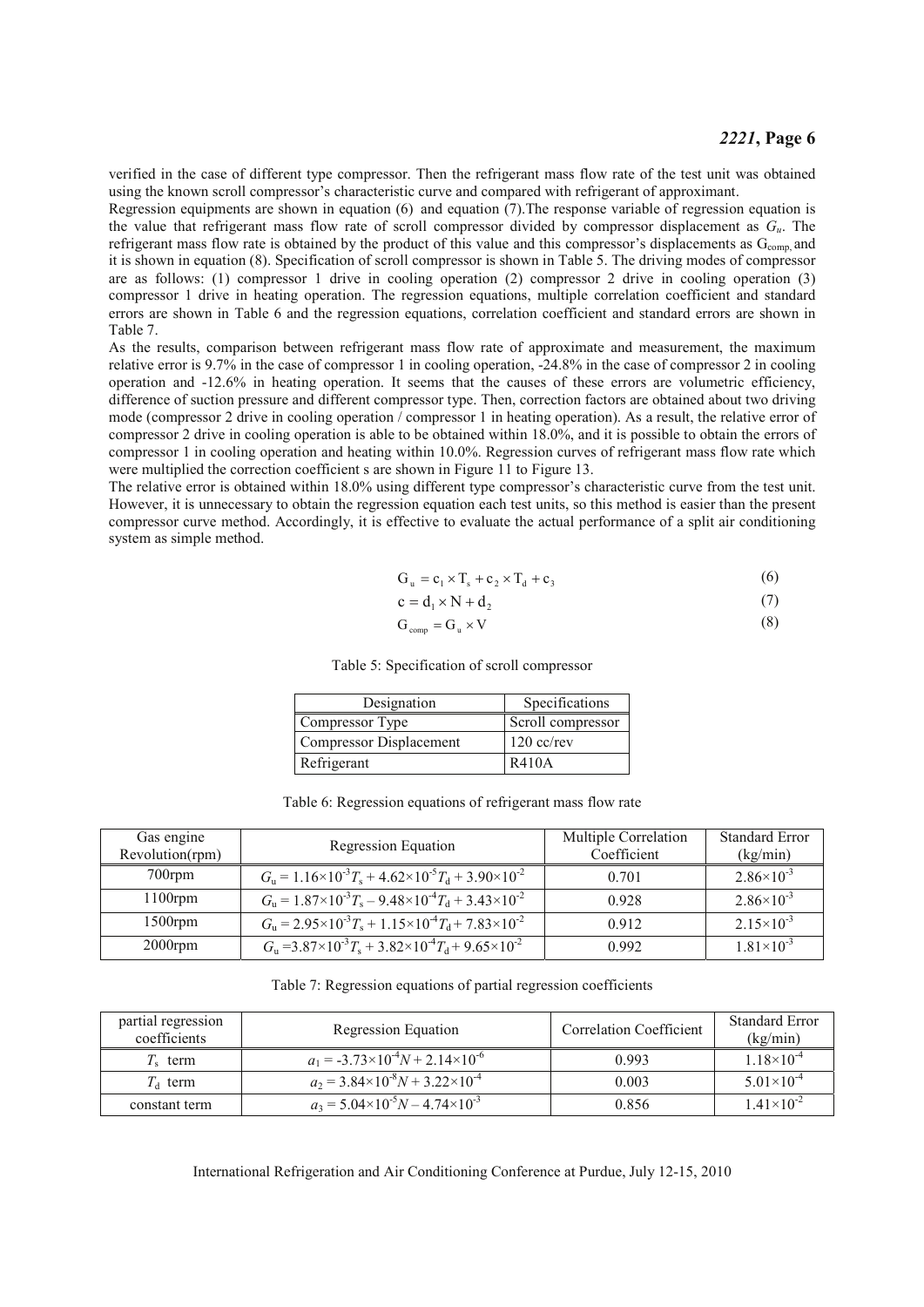verified in the case of different type compressor. Then the refrigerant mass flow rate of the test unit was obtained using the known scroll compressor's characteristic curve and compared with refrigerant of approximant.

Regression equipments are shown in equation  $(6)$  and equation  $(7)$ . The response variable of regression equation is the value that refrigerant mass flow rate of scroll compressor divided by compressor displacement as  $G_u$ . The refrigerant mass flow rate is obtained by the product of this value and this compressor's displacements as  $G<sub>conn</sub>$  and it is shown in equation (8). Specification of scroll compressor is shown in Table 5. The driving modes of compressor are as follows: (1) compressor 1 drive in cooling operation (2) compressor 2 drive in cooling operation (3) compressor 1 drive in heating operation. The regression equations, multiple correlation coefficient and standard errors are shown in Table 6 and the regression equations, correlation coefficient and standard errors are shown in Table 7.

As the results, comparison between refrigerant mass flow rate of approximate and measurement, the maximum relative error is 9.7% in the case of compressor 1 in cooling operation, -24.8% in the case of compressor 2 in cooling operation and -12.6% in heating operation. It seems that the causes of these errors are volumetric efficiency, difference of suction pressure and different compressor type. Then, correction factors are obtained about two driving mode (compressor 2 drive in cooling operation  $\overline{\phantom{a}}$  compressor 1 in heating operation). As a result, the relative error of compressor 2 drive in cooling operation is able to be obtained within 18.0%, and it is possible to obtain the errors of compressor 1 in cooling operation and heating within 10.0%. Regression curves of refrigerant mass flow rate which were multiplied the correction coefficient s are shown in Figure 11 to Figure 13.

The relative error is obtained within 18.0% using different type compressor's characteristic curve from the test unit. However, it is unnecessary to obtain the regression equation each test units, so this method is easier than the present compressor curve method. Accordingly, it is effective to evaluate the actual performance of a split air conditioning system as simple method.

$$
G_u = c_1 \times T_s + c_2 \times T_d + c_3 \tag{6}
$$

$$
c = d_1 \times N + d_2 \tag{7}
$$

$$
G_{\text{comp}} = G_{\text{u}} \times V \tag{8}
$$

Table 5: Specification of scroll compressor

| Designation             | Specifications    |  |
|-------------------------|-------------------|--|
| Compressor Type         | Scroll compressor |  |
| Compressor Displacement | $120$ cc/rev      |  |
| Refrigerant             | R410A             |  |

| Table 6: Regression equations of refrigerant mass flow rate |  |  |
|-------------------------------------------------------------|--|--|
|                                                             |  |  |

| Gas engine<br>Revolution(rpm) | Regression Equation                                                             | Multiple Correlation<br>Coefficient | <b>Standard Error</b><br>(kg/min) |
|-------------------------------|---------------------------------------------------------------------------------|-------------------------------------|-----------------------------------|
| $700$ rpm                     | $G_u = 1.16 \times 10^{-3} T_s + 4.62 \times 10^{-5} T_d + 3.90 \times 10^{-2}$ | 0.701                               | $2.86 \times 10^{-3}$             |
| $1100$ rpm                    | $G_u = 1.87 \times 10^{-3} T_s - 9.48 \times 10^{-4} T_d + 3.43 \times 10^{-2}$ | 0.928                               | $2.86 \times 10^{-3}$             |
| $1500$ rpm                    | $G_u = 2.95 \times 10^{-3} T_s + 1.15 \times 10^{-4} T_d + 7.83 \times 10^{-2}$ | 0.912                               | $2.15 \times 10^{-3}$             |
| $2000$ rpm                    | $Gn = 3.87 \times 10^{-3} Ts + 3.82 \times 10^{-4} Td + 9.65 \times 10^{-2}$    | 0.992                               | $1.81\times10^{-3}$               |

Table 7: Regression equations of partial regression coefficients

| partial regression<br>coefficients | Regression Equation                                  | Correlation Coefficient | Standard Error<br>(kg/min) |
|------------------------------------|------------------------------------------------------|-------------------------|----------------------------|
| $Ts$ term                          | $a_1 = -3.73 \times 10^{-4} N + 2.14 \times 10^{-6}$ | 0.993                   | $1.18\times10^{-4}$        |
| $T_{\rm d}$ term                   | $a_2 = 3.84 \times 10^{-8} N + 3.22 \times 10^{-4}$  | 0.003                   | $5.01\times10^{-4}$        |
| constant term                      | $a_3 = 5.04 \times 10^{-5} N - 4.74 \times 10^{-3}$  | 0.856                   | $1.41\times10^{-2}$        |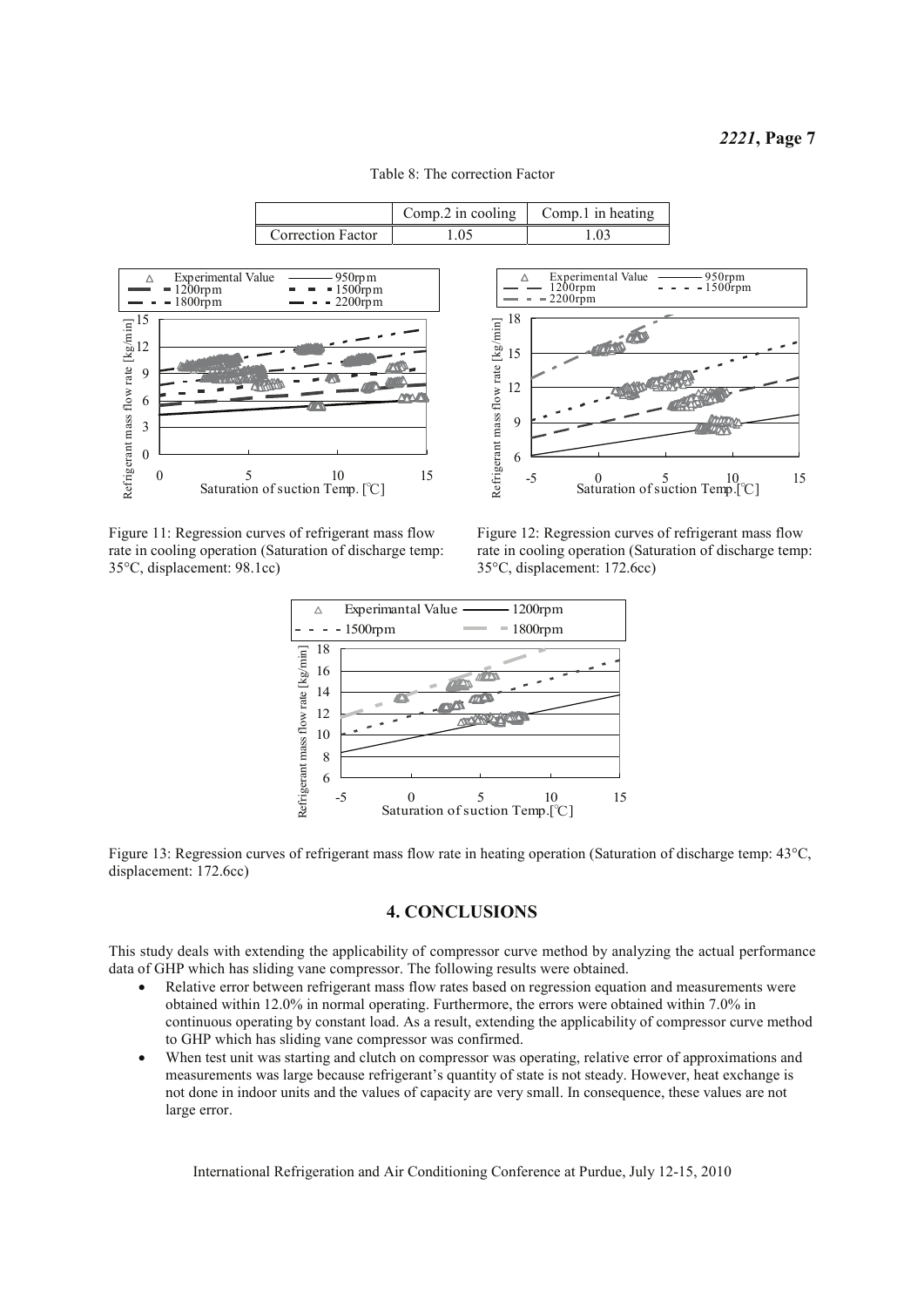|                          |     | Comp. 2 in cooling $\int$ Comp. 1 in heating |
|--------------------------|-----|----------------------------------------------|
| <b>Correction Factor</b> | .05 | .03                                          |
|                          |     |                                              |





Figure 11: Regression curves of refrigerant mass flow rate in cooling operation (Saturation of discharge temp: 35°C, displacement: 98.1cc)



Figure 12: Regression curves of refrigerant mass flow rate in cooling operation (Saturation of discharge temp: 35°C, displacement: 172.6cc)



Figure 13: Regression curves of refrigerant mass flow rate in heating operation (Saturation of discharge temp: 43°C, displacement: 172.6cc)

## **4. CONCLUSIONS**

This study deals with extending the applicability of compressor curve method by analyzing the actual performance data of GHP which has sliding vane compressor. The following results were obtained.

- Relative error between refrigerant mass flow rates based on regression equation and measurements were obtained within 12.0% in normal operating. Furthermore, the errors were obtained within 7.0% in continuous operating by constant load. As a result, extending the applicability of compressor curve method to GHP which has sliding vane compressor was confirmed.
- When test unit was starting and clutch on compressor was operating, relative error of approximations and measurements was large because refrigerant's quantity of state is not steady. However, heat exchange is not done in indoor units and the values of capacity are very small. In consequence, these values are not large error.